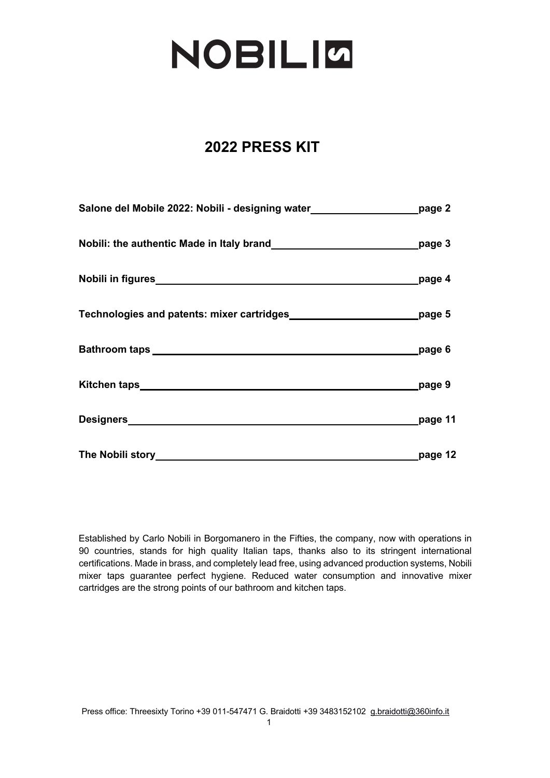# **NOBILIG**

### **2022 PRESS KIT**

| Salone del Mobile 2022: Nobili - designing water__________________________page 2 |                                |
|----------------------------------------------------------------------------------|--------------------------------|
|                                                                                  |                                |
|                                                                                  |                                |
| Technologies and patents: mixer cartridges_____________________________page 5    |                                |
| Bathroom taps page 6                                                             |                                |
|                                                                                  | _page 9                        |
|                                                                                  |                                |
|                                                                                  | _______________________page 12 |

Established by Carlo Nobili in Borgomanero in the Fifties, the company, now with operations in 90 countries, stands for high quality Italian taps, thanks also to its stringent international certifications. Made in brass, and completely lead free, using advanced production systems, Nobili mixer taps guarantee perfect hygiene. Reduced water consumption and innovative mixer cartridges are the strong points of our bathroom and kitchen taps.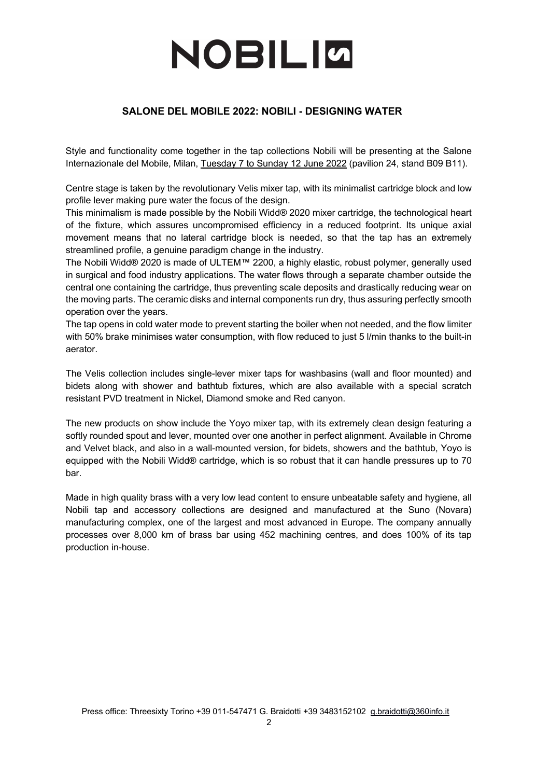### **SALONE DEL MOBILE 2022: NOBILI - DESIGNING WATER**

Style and functionality come together in the tap collections Nobili will be presenting at the Salone Internazionale del Mobile, Milan, Tuesday 7 to Sunday 12 June 2022 (pavilion 24, stand B09 B11).

Centre stage is taken by the revolutionary Velis mixer tap, with its minimalist cartridge block and low profile lever making pure water the focus of the design.

This minimalism is made possible by the Nobili Widd® 2020 mixer cartridge, the technological heart of the fixture, which assures uncompromised efficiency in a reduced footprint. Its unique axial movement means that no lateral cartridge block is needed, so that the tap has an extremely streamlined profile, a genuine paradigm change in the industry.

The Nobili Widd® 2020 is made of ULTEM™ 2200, a highly elastic, robust polymer, generally used in surgical and food industry applications. The water flows through a separate chamber outside the central one containing the cartridge, thus preventing scale deposits and drastically reducing wear on the moving parts. The ceramic disks and internal components run dry, thus assuring perfectly smooth operation over the years.

The tap opens in cold water mode to prevent starting the boiler when not needed, and the flow limiter with 50% brake minimises water consumption, with flow reduced to just 5 l/min thanks to the built-in aerator.

The Velis collection includes single-lever mixer taps for washbasins (wall and floor mounted) and bidets along with shower and bathtub fixtures, which are also available with a special scratch resistant PVD treatment in Nickel, Diamond smoke and Red canyon.

The new products on show include the Yoyo mixer tap, with its extremely clean design featuring a softly rounded spout and lever, mounted over one another in perfect alignment. Available in Chrome and Velvet black, and also in a wall-mounted version, for bidets, showers and the bathtub, Yoyo is equipped with the Nobili Widd® cartridge, which is so robust that it can handle pressures up to 70 bar.

Made in high quality brass with a very low lead content to ensure unbeatable safety and hygiene, all Nobili tap and accessory collections are designed and manufactured at the Suno (Novara) manufacturing complex, one of the largest and most advanced in Europe. The company annually processes over 8,000 km of brass bar using 452 machining centres, and does 100% of its tap production in-house.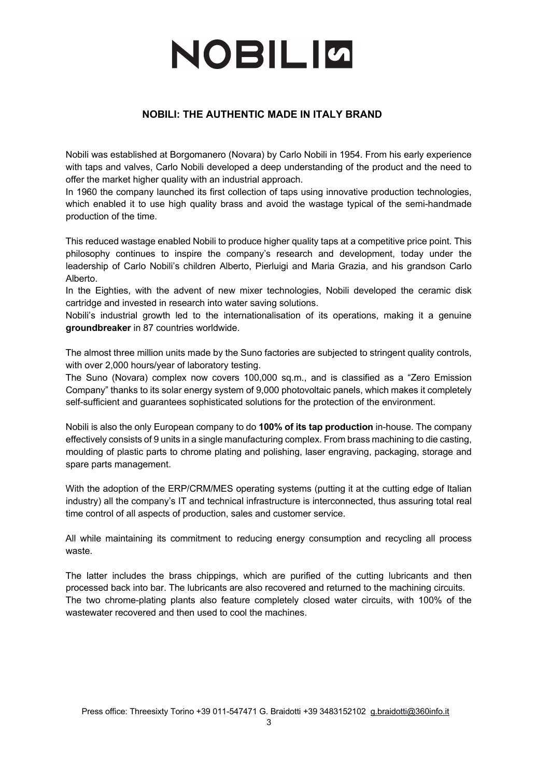### **NOBILI: THE AUTHENTIC MADE IN ITALY BRAND**

Nobili was established at Borgomanero (Novara) by Carlo Nobili in 1954. From his early experience with taps and valves, Carlo Nobili developed a deep understanding of the product and the need to offer the market higher quality with an industrial approach.

In 1960 the company launched its first collection of taps using innovative production technologies, which enabled it to use high quality brass and avoid the wastage typical of the semi-handmade production of the time.

This reduced wastage enabled Nobili to produce higher quality taps at a competitive price point. This philosophy continues to inspire the company's research and development, today under the leadership of Carlo Nobili's children Alberto, Pierluigi and Maria Grazia, and his grandson Carlo Alberto.

In the Eighties, with the advent of new mixer technologies, Nobili developed the ceramic disk cartridge and invested in research into water saving solutions.

Nobili's industrial growth led to the internationalisation of its operations, making it a genuine **groundbreaker** in 87 countries worldwide.

The almost three million units made by the Suno factories are subjected to stringent quality controls, with over 2,000 hours/year of laboratory testing.

The Suno (Novara) complex now covers 100,000 sq.m., and is classified as a "Zero Emission Company" thanks to its solar energy system of 9,000 photovoltaic panels, which makes it completely self-sufficient and guarantees sophisticated solutions for the protection of the environment.

Nobili is also the only European company to do **100% of its tap production** in-house. The company effectively consists of 9 units in a single manufacturing complex. From brass machining to die casting, moulding of plastic parts to chrome plating and polishing, laser engraving, packaging, storage and spare parts management.

With the adoption of the ERP/CRM/MES operating systems (putting it at the cutting edge of Italian industry) all the company's IT and technical infrastructure is interconnected, thus assuring total real time control of all aspects of production, sales and customer service.

All while maintaining its commitment to reducing energy consumption and recycling all process waste.

The latter includes the brass chippings, which are purified of the cutting lubricants and then processed back into bar. The lubricants are also recovered and returned to the machining circuits. The two chrome-plating plants also feature completely closed water circuits, with 100% of the wastewater recovered and then used to cool the machines.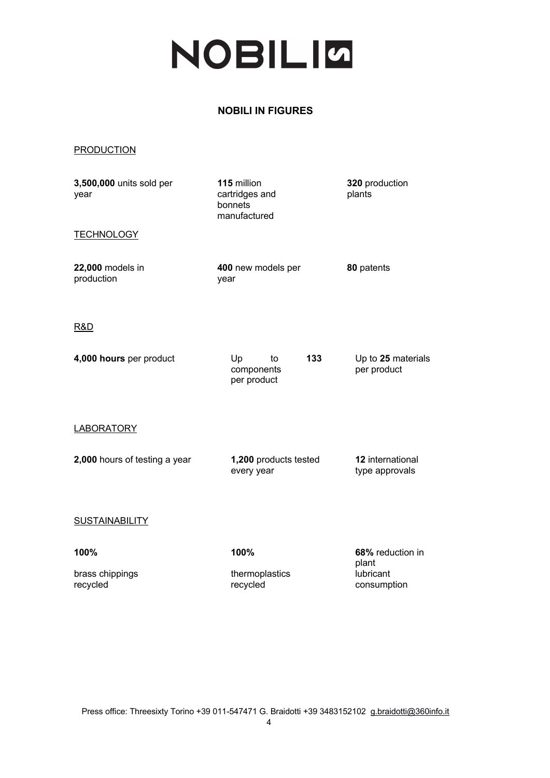### **NOBILI IN FIGURES**

#### PRODUCTION

| 3,500,000 units sold per<br>year | 115 million<br>cartridges and<br>bonnets<br>manufactured | 320 production<br>plants           |
|----------------------------------|----------------------------------------------------------|------------------------------------|
| <b>TECHNOLOGY</b>                |                                                          |                                    |
| 22,000 models in<br>production   | 400 new models per<br>year                               | 80 patents                         |
| R&D                              |                                                          |                                    |
| 4,000 hours per product          | Up<br>133<br>to<br>components<br>per product             | Up to 25 materials<br>per product  |
| <u>LABORATORY</u>                |                                                          |                                    |
| 2,000 hours of testing a year    | 1,200 products tested<br>every year                      | 12 international<br>type approvals |
| <b>SUSTAINABILITY</b>            |                                                          |                                    |
| 100%                             | 100%                                                     | 68% reduction in<br>plant          |
| brass chippings<br>recycled      | thermoplastics<br>recycled                               | lubricant<br>consumption           |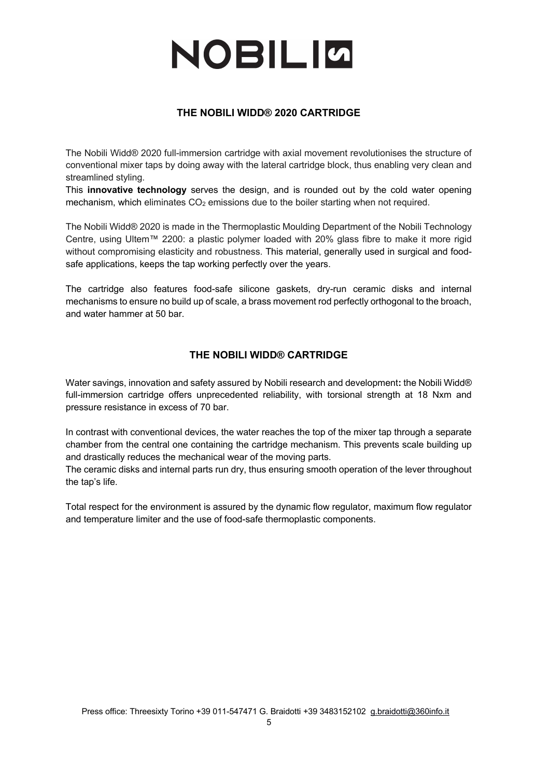### **THE NOBILI WIDD® 2020 CARTRIDGE**

The Nobili Widd® 2020 full-immersion cartridge with axial movement revolutionises the structure of conventional mixer taps by doing away with the lateral cartridge block, thus enabling very clean and streamlined styling.

This **innovative technology** serves the design, and is rounded out by the cold water opening mechanism, which eliminates  $CO<sub>2</sub>$  emissions due to the boiler starting when not required.

The Nobili Widd® 2020 is made in the Thermoplastic Moulding Department of the Nobili Technology Centre, using Ultem™ 2200: a plastic polymer loaded with 20% glass fibre to make it more rigid without compromising elasticity and robustness. This material, generally used in surgical and foodsafe applications, keeps the tap working perfectly over the years.

The cartridge also features food-safe silicone gaskets, dry-run ceramic disks and internal mechanisms to ensure no build up of scale, a brass movement rod perfectly orthogonal to the broach, and water hammer at 50 bar.

### **THE NOBILI WIDD® CARTRIDGE**

Water savings, innovation and safety assured by Nobili research and development**:** the Nobili Widd® full-immersion cartridge offers unprecedented reliability, with torsional strength at 18 Nxm and pressure resistance in excess of 70 bar.

In contrast with conventional devices, the water reaches the top of the mixer tap through a separate chamber from the central one containing the cartridge mechanism. This prevents scale building up and drastically reduces the mechanical wear of the moving parts.

The ceramic disks and internal parts run dry, thus ensuring smooth operation of the lever throughout the tap's life.

Total respect for the environment is assured by the dynamic flow regulator, maximum flow regulator and temperature limiter and the use of food-safe thermoplastic components.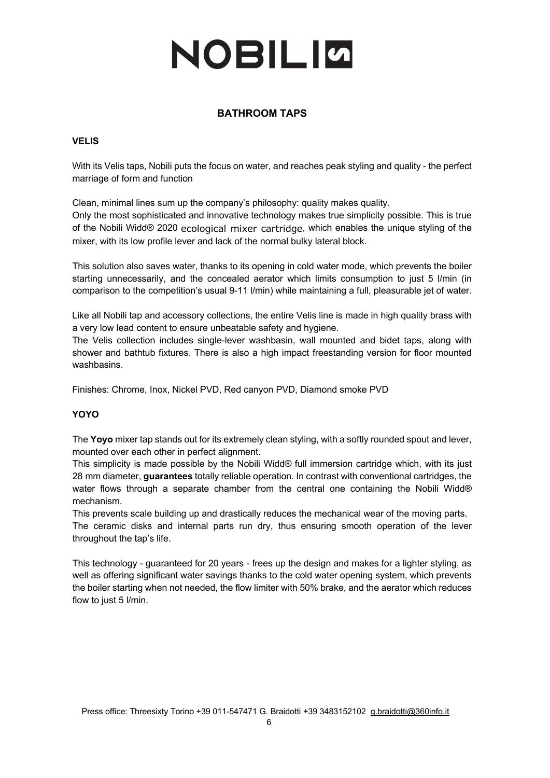### **BATHROOM TAPS**

#### **VELIS**

With its Velis taps, Nobili puts the focus on water, and reaches peak styling and quality - the perfect marriage of form and function

Clean, minimal lines sum up the company's philosophy: quality makes quality.

Only the most sophisticated and innovative technology makes true simplicity possible. This is true of the Nobili Widd® 2020 ecological mixer cartridge, which enables the unique styling of the mixer, with its low profile lever and lack of the normal bulky lateral block.

This solution also saves water, thanks to its opening in cold water mode, which prevents the boiler starting unnecessarily, and the concealed aerator which limits consumption to just 5 l/min (in comparison to the competition's usual 9-11 l/min) while maintaining a full, pleasurable jet of water.

Like all Nobili tap and accessory collections, the entire Velis line is made in high quality brass with a very low lead content to ensure unbeatable safety and hygiene.

The Velis collection includes single-lever washbasin, wall mounted and bidet taps, along with shower and bathtub fixtures. There is also a high impact freestanding version for floor mounted washbasins.

Finishes: Chrome, Inox, Nickel PVD, Red canyon PVD, Diamond smoke PVD

### **YOYO**

The **Yoyo** mixer tap stands out for its extremely clean styling, with a softly rounded spout and lever, mounted over each other in perfect alignment.

This simplicity is made possible by the Nobili Widd® full immersion cartridge which, with its just 28 mm diameter, **guarantees** totally reliable operation. In contrast with conventional cartridges, the water flows through a separate chamber from the central one containing the Nobili Widd® mechanism.

This prevents scale building up and drastically reduces the mechanical wear of the moving parts. The ceramic disks and internal parts run dry, thus ensuring smooth operation of the lever throughout the tap's life.

This technology - guaranteed for 20 years - frees up the design and makes for a lighter styling, as well as offering significant water savings thanks to the cold water opening system, which prevents the boiler starting when not needed, the flow limiter with 50% brake, and the aerator which reduces flow to just 5 l/min.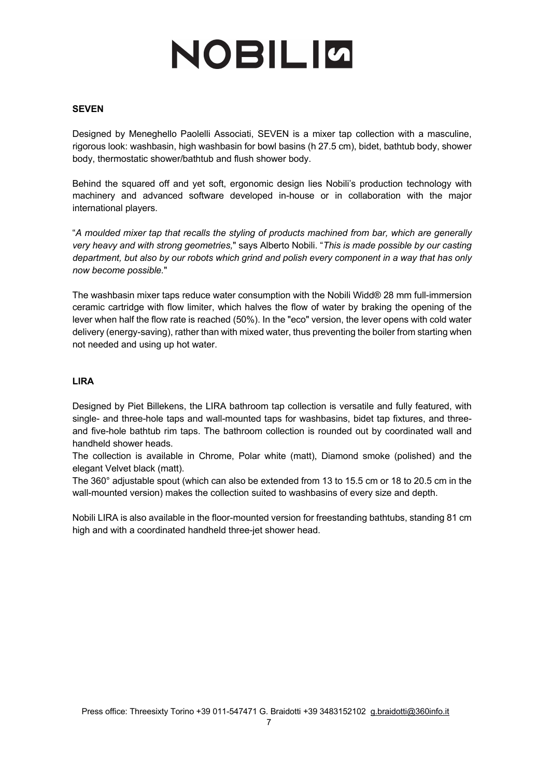#### **SEVEN**

Designed by Meneghello Paolelli Associati, SEVEN is a mixer tap collection with a masculine, rigorous look: washbasin, high washbasin for bowl basins (h 27.5 cm), bidet, bathtub body, shower body, thermostatic shower/bathtub and flush shower body.

Behind the squared off and yet soft, ergonomic design lies Nobili's production technology with machinery and advanced software developed in-house or in collaboration with the major international players.

"*A moulded mixer tap that recalls the styling of products machined from bar, which are generally very heavy and with strong geometries,*" says Alberto Nobili. "*This is made possible by our casting department, but also by our robots which grind and polish every component in a way that has only now become possible.*"

The washbasin mixer taps reduce water consumption with the Nobili Widd® 28 mm full-immersion ceramic cartridge with flow limiter, which halves the flow of water by braking the opening of the lever when half the flow rate is reached (50%). In the "eco" version, the lever opens with cold water delivery (energy-saving), rather than with mixed water, thus preventing the boiler from starting when not needed and using up hot water.

#### **LIRA**

Designed by Piet Billekens, the LIRA bathroom tap collection is versatile and fully featured, with single- and three-hole taps and wall-mounted taps for washbasins, bidet tap fixtures, and threeand five-hole bathtub rim taps. The bathroom collection is rounded out by coordinated wall and handheld shower heads.

The collection is available in Chrome, Polar white (matt), Diamond smoke (polished) and the elegant Velvet black (matt).

The 360° adjustable spout (which can also be extended from 13 to 15.5 cm or 18 to 20.5 cm in the wall-mounted version) makes the collection suited to washbasins of every size and depth.

Nobili LIRA is also available in the floor-mounted version for freestanding bathtubs, standing 81 cm high and with a coordinated handheld three-jet shower head.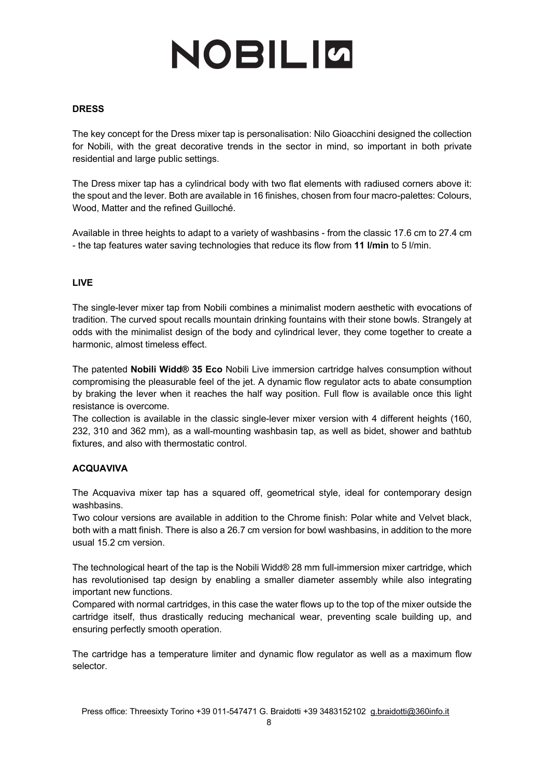#### **DRESS**

The key concept for the Dress mixer tap is personalisation: Nilo Gioacchini designed the collection for Nobili, with the great decorative trends in the sector in mind, so important in both private residential and large public settings.

The Dress mixer tap has a cylindrical body with two flat elements with radiused corners above it: the spout and the lever. Both are available in 16 finishes, chosen from four macro-palettes: Colours, Wood, Matter and the refined Guilloché.

Available in three heights to adapt to a variety of washbasins - from the classic 17.6 cm to 27.4 cm - the tap features water saving technologies that reduce its flow from **11 l/min** to 5 l/min.

#### **LIVE**

The single-lever mixer tap from Nobili combines a minimalist modern aesthetic with evocations of tradition. The curved spout recalls mountain drinking fountains with their stone bowls. Strangely at odds with the minimalist design of the body and cylindrical lever, they come together to create a harmonic, almost timeless effect.

The patented **Nobili Widd® 35 Eco** Nobili Live immersion cartridge halves consumption without compromising the pleasurable feel of the jet. A dynamic flow regulator acts to abate consumption by braking the lever when it reaches the half way position. Full flow is available once this light resistance is overcome.

The collection is available in the classic single-lever mixer version with 4 different heights (160, 232, 310 and 362 mm), as a wall-mounting washbasin tap, as well as bidet, shower and bathtub fixtures, and also with thermostatic control.

#### **ACQUAVIVA**

The Acquaviva mixer tap has a squared off, geometrical style, ideal for contemporary design washbasins.

Two colour versions are available in addition to the Chrome finish: Polar white and Velvet black, both with a matt finish. There is also a 26.7 cm version for bowl washbasins, in addition to the more usual 15.2 cm version.

The technological heart of the tap is the Nobili Widd® 28 mm full-immersion mixer cartridge, which has revolutionised tap design by enabling a smaller diameter assembly while also integrating important new functions.

Compared with normal cartridges, in this case the water flows up to the top of the mixer outside the cartridge itself, thus drastically reducing mechanical wear, preventing scale building up, and ensuring perfectly smooth operation.

The cartridge has a temperature limiter and dynamic flow regulator as well as a maximum flow selector.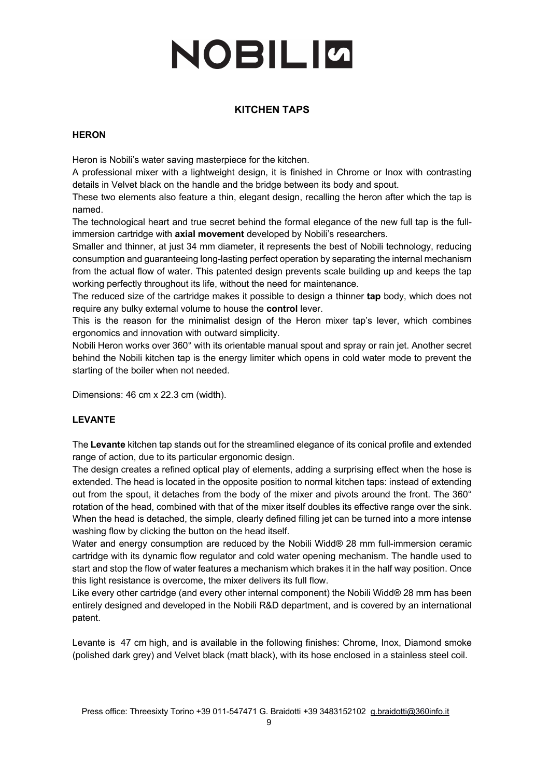### **KITCHEN TAPS**

#### **HERON**

Heron is Nobili's water saving masterpiece for the kitchen.

A professional mixer with a lightweight design, it is finished in Chrome or Inox with contrasting details in Velvet black on the handle and the bridge between its body and spout.

These two elements also feature a thin, elegant design, recalling the heron after which the tap is named.

The technological heart and true secret behind the formal elegance of the new full tap is the fullimmersion cartridge with **axial movement** developed by Nobili's researchers.

Smaller and thinner, at just 34 mm diameter, it represents the best of Nobili technology, reducing consumption and guaranteeing long-lasting perfect operation by separating the internal mechanism from the actual flow of water. This patented design prevents scale building up and keeps the tap working perfectly throughout its life, without the need for maintenance.

The reduced size of the cartridge makes it possible to design a thinner **tap** body, which does not require any bulky external volume to house the **control** lever.

This is the reason for the minimalist design of the Heron mixer tap's lever, which combines ergonomics and innovation with outward simplicity.

Nobili Heron works over 360° with its orientable manual spout and spray or rain jet. Another secret behind the Nobili kitchen tap is the energy limiter which opens in cold water mode to prevent the starting of the boiler when not needed.

Dimensions: 46 cm x 22.3 cm (width).

#### **LEVANTE**

The **Levante** kitchen tap stands out for the streamlined elegance of its conical profile and extended range of action, due to its particular ergonomic design.

The design creates a refined optical play of elements, adding a surprising effect when the hose is extended. The head is located in the opposite position to normal kitchen taps: instead of extending out from the spout, it detaches from the body of the mixer and pivots around the front. The 360° rotation of the head, combined with that of the mixer itself doubles its effective range over the sink. When the head is detached, the simple, clearly defined filling jet can be turned into a more intense washing flow by clicking the button on the head itself.

Water and energy consumption are reduced by the Nobili Widd® 28 mm full-immersion ceramic cartridge with its dynamic flow regulator and cold water opening mechanism. The handle used to start and stop the flow of water features a mechanism which brakes it in the half way position. Once this light resistance is overcome, the mixer delivers its full flow.

Like every other cartridge (and every other internal component) the Nobili Widd® 28 mm has been entirely designed and developed in the Nobili R&D department, and is covered by an international patent.

Levante is 47 cm high, and is available in the following finishes: Chrome, Inox, Diamond smoke (polished dark grey) and Velvet black (matt black), with its hose enclosed in a stainless steel coil.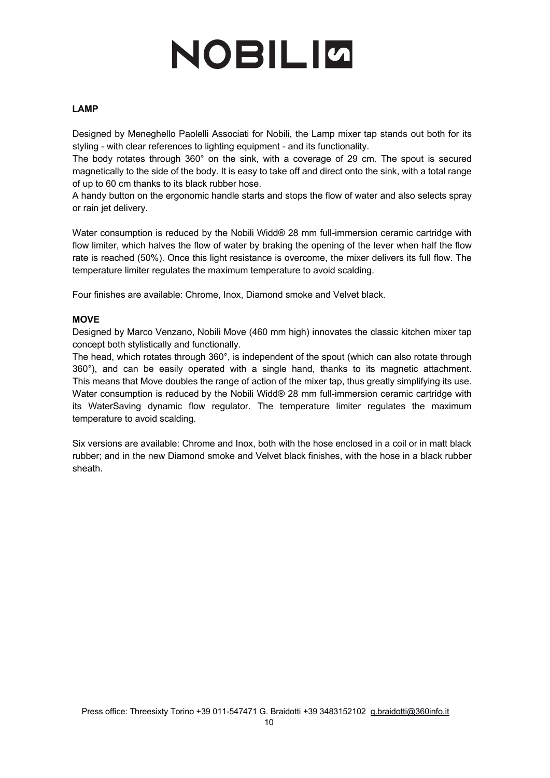#### **LAMP**

Designed by Meneghello Paolelli Associati for Nobili, the Lamp mixer tap stands out both for its styling - with clear references to lighting equipment - and its functionality.

The body rotates through 360° on the sink, with a coverage of 29 cm. The spout is secured magnetically to the side of the body. It is easy to take off and direct onto the sink, with a total range of up to 60 cm thanks to its black rubber hose.

A handy button on the ergonomic handle starts and stops the flow of water and also selects spray or rain jet delivery.

Water consumption is reduced by the Nobili Widd® 28 mm full-immersion ceramic cartridge with flow limiter, which halves the flow of water by braking the opening of the lever when half the flow rate is reached (50%). Once this light resistance is overcome, the mixer delivers its full flow. The temperature limiter regulates the maximum temperature to avoid scalding.

Four finishes are available: Chrome, Inox, Diamond smoke and Velvet black.

#### **MOVE**

Designed by Marco Venzano, Nobili Move (460 mm high) innovates the classic kitchen mixer tap concept both stylistically and functionally.

The head, which rotates through 360°, is independent of the spout (which can also rotate through 360°), and can be easily operated with a single hand, thanks to its magnetic attachment. This means that Move doubles the range of action of the mixer tap, thus greatly simplifying its use. Water consumption is reduced by the Nobili Widd® 28 mm full-immersion ceramic cartridge with its WaterSaving dynamic flow regulator. The temperature limiter regulates the maximum temperature to avoid scalding.

Six versions are available: Chrome and Inox, both with the hose enclosed in a coil or in matt black rubber; and in the new Diamond smoke and Velvet black finishes, with the hose in a black rubber sheath.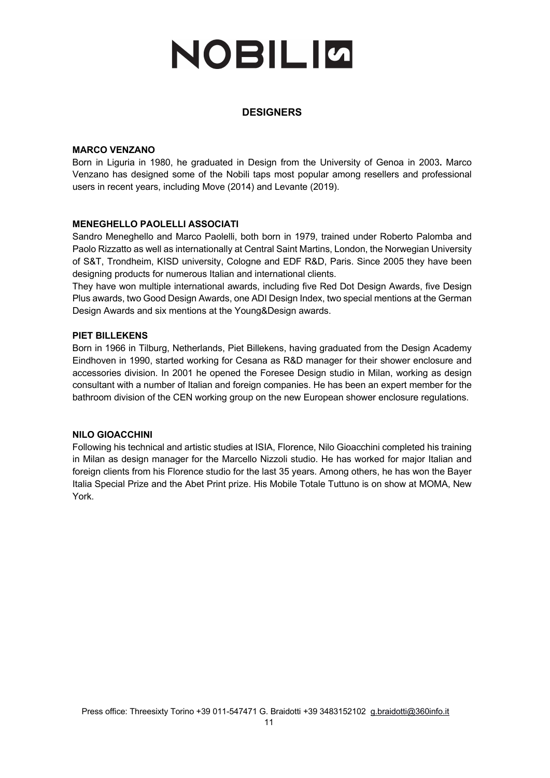#### **DESIGNERS**

#### **MARCO VENZANO**

Born in Liguria in 1980, he graduated in Design from the University of Genoa in 2003**.** Marco Venzano has designed some of the Nobili taps most popular among resellers and professional users in recent years, including Move (2014) and Levante (2019).

#### **MENEGHELLO PAOLELLI ASSOCIATI**

Sandro Meneghello and Marco Paolelli, both born in 1979, trained under Roberto Palomba and Paolo Rizzatto as well as internationally at Central Saint Martins, London, the Norwegian University of S&T, Trondheim, KISD university, Cologne and EDF R&D, Paris. Since 2005 they have been designing products for numerous Italian and international clients.

They have won multiple international awards, including five Red Dot Design Awards, five Design Plus awards, two Good Design Awards, one ADI Design Index, two special mentions at the German Design Awards and six mentions at the Young&Design awards.

#### **PIET BILLEKENS**

Born in 1966 in Tilburg, Netherlands, Piet Billekens, having graduated from the Design Academy Eindhoven in 1990, started working for Cesana as R&D manager for their shower enclosure and accessories division. In 2001 he opened the Foresee Design studio in Milan, working as design consultant with a number of Italian and foreign companies. He has been an expert member for the bathroom division of the CEN working group on the new European shower enclosure regulations.

#### **NILO GIOACCHINI**

Following his technical and artistic studies at ISIA, Florence, Nilo Gioacchini completed his training in Milan as design manager for the Marcello Nizzoli studio. He has worked for major Italian and foreign clients from his Florence studio for the last 35 years. Among others, he has won the Bayer Italia Special Prize and the Abet Print prize. His Mobile Totale Tuttuno is on show at MOMA, New York.